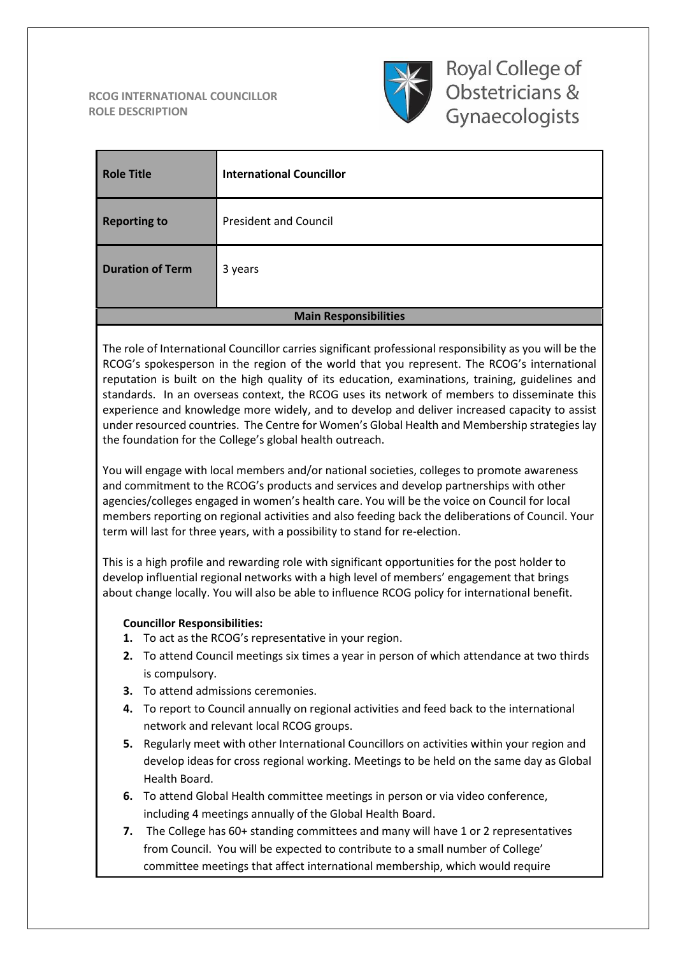#### **RCOG INTERNATIONAL COUNCILLOR ROLE DESCRIPTION**



Royal College of Obstetricians & Gynaecologists

| <b>Role Title</b>            | <b>International Councillor</b> |
|------------------------------|---------------------------------|
| <b>Reporting to</b>          | <b>President and Council</b>    |
| <b>Duration of Term</b>      | 3 years                         |
| <b>Main Responsibilities</b> |                                 |

The role of International Councillor carries significant professional responsibility as you will be the RCOG's spokesperson in the region of the world that you represent. The RCOG's international reputation is built on the high quality of its education, examinations, training, guidelines and standards. In an overseas context, the RCOG uses its network of members to disseminate this experience and knowledge more widely, and to develop and deliver increased capacity to assist under resourced countries. The Centre for Women's Global Health and Membership strategies lay the foundation for the College's global health outreach.

You will engage with local members and/or national societies, colleges to promote awareness and commitment to the RCOG's products and services and develop partnerships with other agencies/colleges engaged in women's health care. You will be the voice on Council for local members reporting on regional activities and also feeding back the deliberations of Council. Your term will last for three years, with a possibility to stand for re-election.

This is a high profile and rewarding role with significant opportunities for the post holder to develop influential regional networks with a high level of members' engagement that brings about change locally. You will also be able to influence RCOG policy for international benefit.

### **Councillor Responsibilities:**

- **1.** To act as the RCOG's representative in your region.
- **2.** To attend Council meetings six times a year in person of which attendance at two thirds is compulsory.
- **3.** To attend admissions ceremonies.
- **4.** To report to Council annually on regional activities and feed back to the international network and relevant local RCOG groups.
- **5.** Regularly meet with other International Councillors on activities within your region and develop ideas for cross regional working. Meetings to be held on the same day as Global Health Board.
- **6.** To attend Global Health committee meetings in person or via video conference, including 4 meetings annually of the Global Health Board.
- **7.** The College has 60+ standing committees and many will have 1 or 2 representatives from Council. You will be expected to contribute to a small number of College' committee meetings that affect international membership, which would require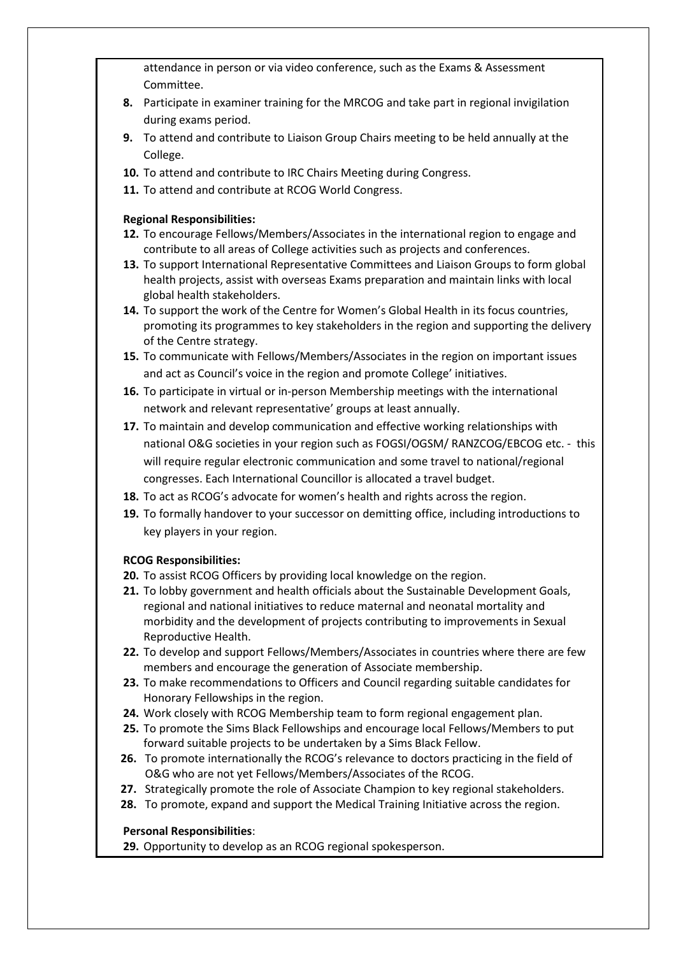attendance in person or via video conference, such as the Exams & Assessment Committee.

- **8.** Participate in examiner training for the MRCOG and take part in regional invigilation during exams period.
- **9.** To attend and contribute to Liaison Group Chairs meeting to be held annually at the College.
- **10.** To attend and contribute to IRC Chairs Meeting during Congress.
- **11.** To attend and contribute at RCOG World Congress.

### **Regional Responsibilities:**

- **12.** To encourage Fellows/Members/Associates in the international region to engage and contribute to all areas of College activities such as projects and conferences.
- **13.** To support International Representative Committees and Liaison Groups to form global health projects, assist with overseas Exams preparation and maintain links with local global health stakeholders.
- **14.** To support the work of the Centre for Women's Global Health in its focus countries, promoting its programmes to key stakeholders in the region and supporting the delivery of the Centre strategy.
- **15.** To communicate with Fellows/Members/Associates in the region on important issues and act as Council's voice in the region and promote College' initiatives.
- **16.** To participate in virtual or in-person Membership meetings with the international network and relevant representative' groups at least annually.
- **17.** To maintain and develop communication and effective working relationships with national O&G societies in your region such as FOGSI/OGSM/ RANZCOG/EBCOG etc. - this will require regular electronic communication and some travel to national/regional congresses. Each International Councillor is allocated a travel budget.
- **18.** To act as RCOG's advocate for women's health and rights across the region.
- **19.** To formally handover to your successor on demitting office, including introductions to key players in your region.

# **RCOG Responsibilities:**

- **20.** To assist RCOG Officers by providing local knowledge on the region.
- **21.** To lobby government and health officials about the Sustainable Development Goals, regional and national initiatives to reduce maternal and neonatal mortality and morbidity and the development of projects contributing to improvements in Sexual Reproductive Health.
- **22.** To develop and support Fellows/Members/Associates in countries where there are few members and encourage the generation of Associate membership.
- **23.** To make recommendations to Officers and Council regarding suitable candidates for Honorary Fellowships in the region.
- **24.** Work closely with RCOG Membership team to form regional engagement plan.
- **25.** To promote the Sims Black Fellowships and encourage local Fellows/Members to put forward suitable projects to be undertaken by a Sims Black Fellow.
- **26.** To promote internationally the RCOG's relevance to doctors practicing in the field of O&G who are not yet Fellows/Members/Associates of the RCOG.
- **27.** Strategically promote the role of Associate Champion to key regional stakeholders.
- **28.** To promote, expand and support the Medical Training Initiative across the region.

# **Personal Responsibilities**:

**29.** Opportunity to develop as an RCOG regional spokesperson.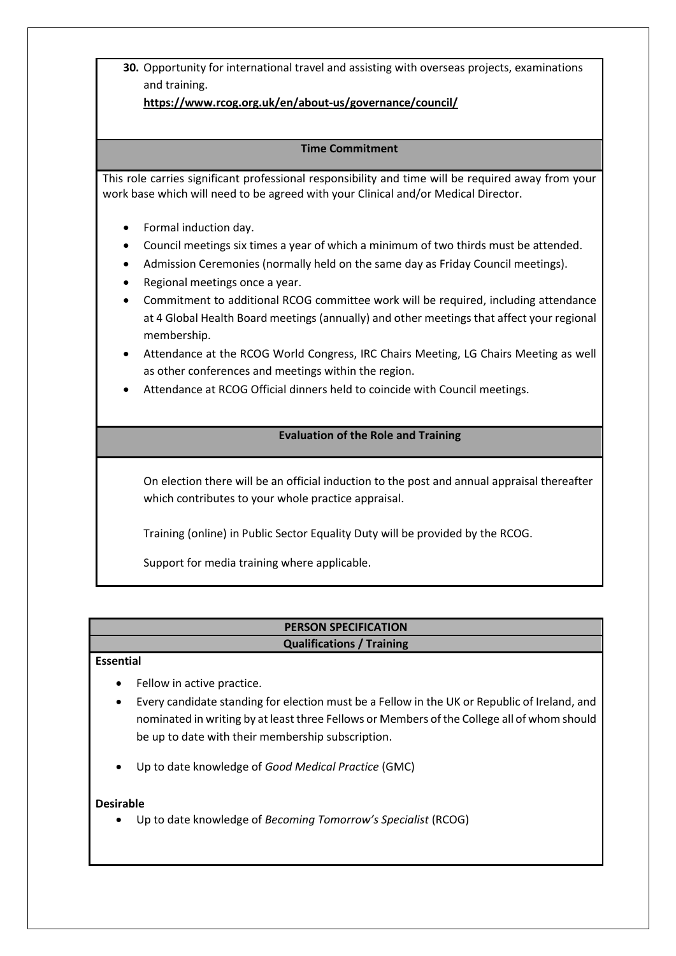**30.** Opportunity for international travel and assisting with overseas projects, examinations and training.

**<https://www.rcog.org.uk/en/about-us/governance/council/>**

### **Time Commitment**

This role carries significant professional responsibility and time will be required away from your work base which will need to be agreed with your Clinical and/or Medical Director.

- Formal induction day.
- Council meetings six times a year of which a minimum of two thirds must be attended.
- Admission Ceremonies (normally held on the same day as Friday Council meetings).
- Regional meetings once a year.
- Commitment to additional RCOG committee work will be required, including attendance at 4 Global Health Board meetings (annually) and other meetings that affect your regional membership.
- Attendance at the RCOG World Congress, IRC Chairs Meeting, LG Chairs Meeting as well as other conferences and meetings within the region.
- Attendance at RCOG Official dinners held to coincide with Council meetings.

## **Evaluation of the Role and Training**

On election there will be an official induction to the post and annual appraisal thereafter which contributes to your whole practice appraisal.

Training (online) in Public Sector Equality Duty will be provided by the RCOG.

Support for media training where applicable.

### **PERSON SPECIFICATION Qualifications / Training**

### **Essential**

- Fellow in active practice.
- Every candidate standing for election must be a Fellow in the UK or Republic of Ireland, and nominated in writing by at least three Fellows or Members of the College all of whom should be up to date with their membership subscription.
- Up to date knowledge of *Good Medical Practice* (GMC)

#### **Desirable**

Up to date knowledge of *Becoming Tomorrow's Specialist* (RCOG)